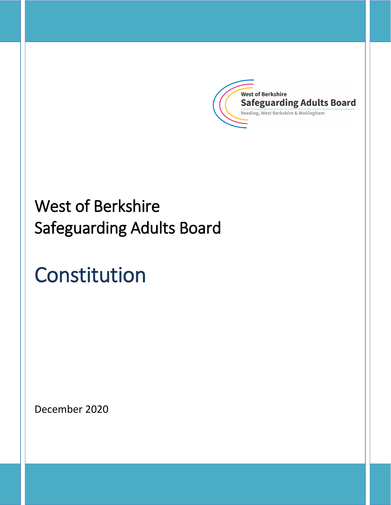

# West of Berkshire Safeguarding Adults Board

# Constitution

December 2020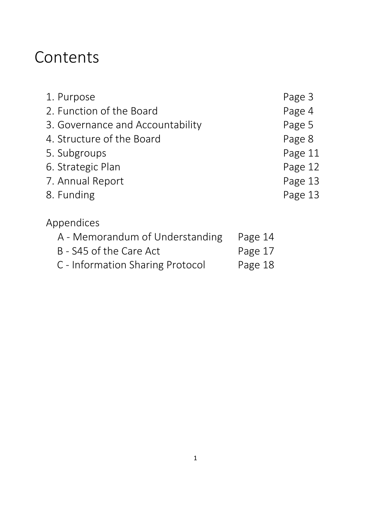# Contents

| 1. Purpose                       |         | Page 3  |
|----------------------------------|---------|---------|
| 2. Function of the Board         |         | Page 4  |
| 3. Governance and Accountability |         | Page 5  |
| 4. Structure of the Board        |         | Page 8  |
| 5. Subgroups                     |         | Page 11 |
| 6. Strategic Plan                |         | Page 12 |
| 7. Annual Report                 |         | Page 13 |
| 8. Funding                       |         | Page 13 |
| Appendices                       |         |         |
| A - Memorandum of Understanding  | Page 14 |         |
| B - S45 of the Care Act          | Page 17 |         |
| C - Information Sharing Protocol | Page 18 |         |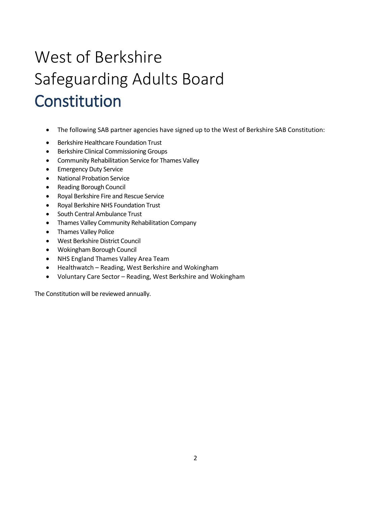# West of Berkshire Safeguarding Adults Board Constitution

- The following SAB partner agencies have signed up to the West of Berkshire SAB Constitution:
- Berkshire Healthcare Foundation Trust
- Berkshire Clinical Commissioning Groups
- Community Rehabilitation Service for Thames Valley
- Emergency Duty Service
- National Probation Service
- Reading Borough Council
- Royal Berkshire Fire and Rescue Service
- Royal Berkshire NHS Foundation Trust
- South Central Ambulance Trust
- Thames Valley Community Rehabilitation Company
- Thames Valley Police
- West Berkshire District Council
- Wokingham Borough Council
- NHS England Thames Valley Area Team
- Healthwatch Reading, West Berkshire and Wokingham
- Voluntary Care Sector Reading, West Berkshire and Wokingham

The Constitution will be reviewed annually.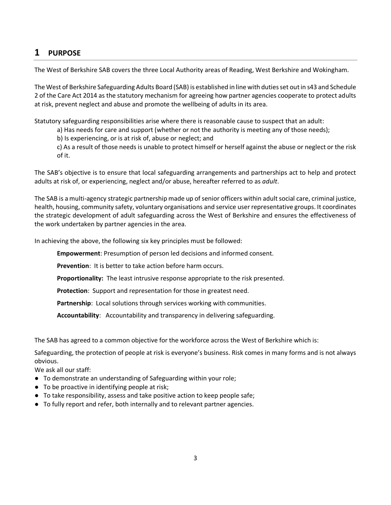# **1 PURPOSE**

The West of Berkshire SAB covers the three Local Authority areas of Reading, West Berkshire and Wokingham.

The West of Berkshire Safeguarding Adults Board (SAB) is established in line with duties set out in s43 and Schedule 2 of the Care Act 2014 as the statutory mechanism for agreeing how partner agencies cooperate to protect adults at risk, prevent neglect and abuse and promote the wellbeing of adults in its area.

Statutory safeguarding responsibilities arise where there is reasonable cause to suspect that an adult:

a) Has needs for care and support (whether or not the authority is meeting any of those needs);

b) Is experiencing, or is at risk of, abuse or neglect; and

c) As a result of those needs is unable to protect himself or herself against the abuse or neglect or the risk of it.

The SAB's objective is to ensure that local safeguarding arrangements and partnerships act to help and protect adults at risk of, or experiencing, neglect and/or abuse, hereafter referred to as *adult*.

The SAB is a multi-agency strategic partnership made up of senior officers within adult social care, criminal justice, health, housing, community safety, voluntary organisations and service user representative groups. It coordinates the strategic development of adult safeguarding across the West of Berkshire and ensures the effectiveness of the work undertaken by partner agencies in the area.

In achieving the above, the following six key principles must be followed:

**Empowerment**: Presumption of person led decisions and informed consent.

**Prevention**: It is better to take action before harm occurs.

**Proportionality:** The least intrusive response appropriate to the risk presented.

**Protection**: Support and representation for those in greatest need.

**Partnership**: Local solutions through services working with communities.

**Accountability**: Accountability and transparency in delivering safeguarding.

The SAB has agreed to a common objective for the workforce across the West of Berkshire which is:

Safeguarding, the protection of people at risk is everyone's business. Risk comes in many forms and is not always obvious.

We ask all our staff:

- To demonstrate an understanding of Safeguarding within your role;
- To be proactive in identifying people at risk;
- To take responsibility, assess and take positive action to keep people safe;
- To fully report and refer, both internally and to relevant partner agencies.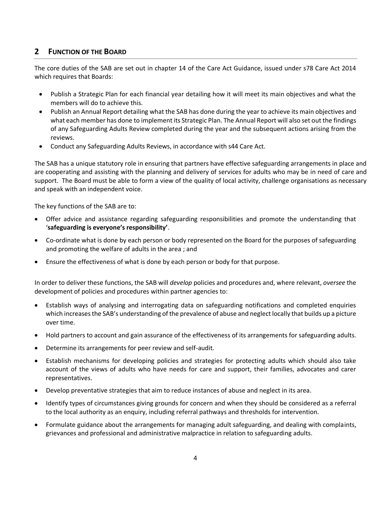## **2 FUNCTION OF THE BOARD**

The core duties of the SAB are set out in chapter 14 of the Care Act Guidance, issued under s78 Care Act 2014 which requires that Boards:

- Publish a Strategic Plan for each financial year detailing how it will meet its main objectives and what the members will do to achieve this.
- Publish an Annual Report detailing what the SAB has done during the year to achieve its main objectives and what each member has done to implement its Strategic Plan. The Annual Report will also set out the findings of any Safeguarding Adults Review completed during the year and the subsequent actions arising from the reviews.
- Conduct any Safeguarding Adults Reviews, in accordance with s44 Care Act.

The SAB has a unique statutory role in ensuring that partners have effective safeguarding arrangements in place and are cooperating and assisting with the planning and delivery of services for adults who may be in need of care and support. The Board must be able to form a view of the quality of local activity, challenge organisations as necessary and speak with an independent voice.

The key functions of the SAB are to:

- Offer advice and assistance regarding safeguarding responsibilities and promote the understanding that '**safeguarding is everyone's responsibility'**.
- Co-ordinate what is done by each person or body represented on the Board for the purposes of safeguarding and promoting the welfare of adults in the area ; and
- Ensure the effectiveness of what is done by each person or body for that purpose.

In order to deliver these functions, the SAB will *develop* policies and procedures and, where relevant, *oversee* the development of policies and procedures within partner agencies to:

- Establish ways of analysing and interrogating data on safeguarding notifications and completed enquiries which increases the SAB's understanding of the prevalence of abuse and neglect locally that builds up a picture over time.
- Hold partners to account and gain assurance of the effectiveness of its arrangements for safeguarding adults.
- Determine its arrangements for peer review and self-audit.
- Establish mechanisms for developing policies and strategies for protecting adults which should also take account of the views of adults who have needs for care and support, their families, advocates and carer representatives.
- Develop preventative strategies that aim to reduce instances of abuse and neglect in its area.
- Identify types of circumstances giving grounds for concern and when they should be considered as a referral to the local authority as an enquiry, including referral pathways and thresholds for intervention.
- Formulate guidance about the arrangements for managing adult safeguarding, and dealing with complaints, grievances and professional and administrative malpractice in relation to safeguarding adults.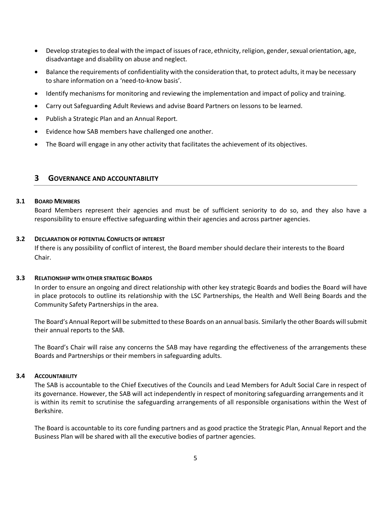- Develop strategies to deal with the impact of issues of race, ethnicity, religion, gender, sexual orientation, age, disadvantage and disability on abuse and neglect.
- Balance the requirements of confidentiality with the consideration that, to protect adults, it may be necessary to share information on a 'need-to-know basis'.
- Identify mechanisms for monitoring and reviewing the implementation and impact of policy and training.
- Carry out Safeguarding Adult Reviews and advise Board Partners on lessons to be learned.
- Publish a Strategic Plan and an Annual Report.
- Evidence how SAB members have challenged one another.
- The Board will engage in any other activity that facilitates the achievement of its objectives.

#### **3 GOVERNANCE AND ACCOUNTABILITY**

#### **3.1 BOARD MEMBERS**

Board Members represent their agencies and must be of sufficient seniority to do so, and they also have a responsibility to ensure effective safeguarding within their agencies and across partner agencies.

#### **3.2 DECLARATION OF POTENTIAL CONFLICTS OF INTEREST**

If there is any possibility of conflict of interest, the Board member should declare their interests to the Board Chair.

#### **3.3 RELATIONSHIP WITH OTHER STRATEGIC BOARDS**

In order to ensure an ongoing and direct relationship with other key strategic Boards and bodies the Board will have in place protocols to outline its relationship with the LSC Partnerships, the Health and Well Being Boards and the Community Safety Partnerships in the area.

The Board's Annual Report will be submitted to these Boards on an annual basis. Similarly the other Boards will submit their annual reports to the SAB.

The Board's Chair will raise any concerns the SAB may have regarding the effectiveness of the arrangements these Boards and Partnerships or their members in safeguarding adults.

#### **3.4 ACCOUNTABILITY**

The SAB is accountable to the Chief Executives of the Councils and Lead Members for Adult Social Care in respect of its governance. However, the SAB will act independently in respect of monitoring safeguarding arrangements and it is within its remit to scrutinise the safeguarding arrangements of all responsible organisations within the West of Berkshire.

The Board is accountable to its core funding partners and as good practice the Strategic Plan, Annual Report and the Business Plan will be shared with all the executive bodies of partner agencies.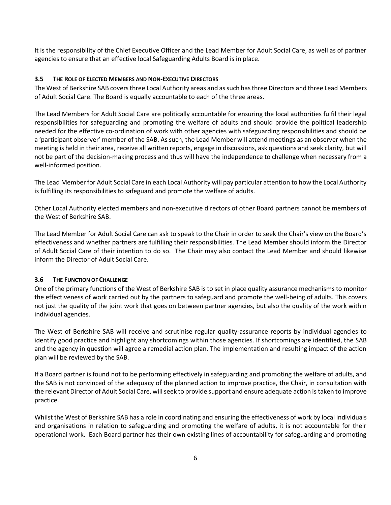It is the responsibility of the Chief Executive Officer and the Lead Member for Adult Social Care, as well as of partner agencies to ensure that an effective local Safeguarding Adults Board is in place.

#### **3.5 THE ROLE OF ELECTED MEMBERS AND NON-EXECUTIVE DIRECTORS**

The West of Berkshire SAB covers three Local Authority areas and as such has three Directors and three Lead Members of Adult Social Care. The Board is equally accountable to each of the three areas.

The Lead Members for Adult Social Care are politically accountable for ensuring the local authorities fulfil their legal responsibilities for safeguarding and promoting the welfare of adults and should provide the political leadership needed for the effective co-ordination of work with other agencies with safeguarding responsibilities and should be a 'participant observer' member of the SAB. As such, the Lead Member will attend meetings as an observer when the meeting is held in their area, receive all written reports, engage in discussions, ask questions and seek clarity, but will not be part of the decision-making process and thus will have the independence to challenge when necessary from a well-informed position.

The Lead Member for Adult Social Care in each Local Authority will pay particular attention to how the Local Authority is fulfilling its responsibilities to safeguard and promote the welfare of adults.

Other Local Authority elected members and non-executive directors of other Board partners cannot be members of the West of Berkshire SAB.

The Lead Member for Adult Social Care can ask to speak to the Chair in order to seek the Chair's view on the Board's effectiveness and whether partners are fulfilling their responsibilities. The Lead Member should inform the Director of Adult Social Care of their intention to do so. The Chair may also contact the Lead Member and should likewise inform the Director of Adult Social Care.

#### **3.6 THE FUNCTION OF CHALLENGE**

One of the primary functions of the West of Berkshire SAB is to set in place quality assurance mechanisms to monitor the effectiveness of work carried out by the partners to safeguard and promote the well-being of adults. This covers not just the quality of the joint work that goes on between partner agencies, but also the quality of the work within individual agencies.

The West of Berkshire SAB will receive and scrutinise regular quality-assurance reports by individual agencies to identify good practice and highlight any shortcomings within those agencies. If shortcomings are identified, the SAB and the agency in question will agree a remedial action plan. The implementation and resulting impact of the action plan will be reviewed by the SAB.

If a Board partner is found not to be performing effectively in safeguarding and promoting the welfare of adults, and the SAB is not convinced of the adequacy of the planned action to improve practice, the Chair, in consultation with the relevant Director of Adult Social Care, will seek to provide support and ensure adequate action is taken to improve practice.

Whilst the West of Berkshire SAB has a role in coordinating and ensuring the effectiveness of work by local individuals and organisations in relation to safeguarding and promoting the welfare of adults, it is not accountable for their operational work. Each Board partner has their own existing lines of accountability for safeguarding and promoting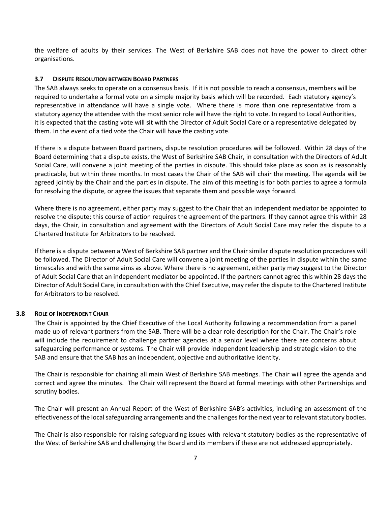the welfare of adults by their services. The West of Berkshire SAB does not have the power to direct other organisations.

#### **3.7 DISPUTE RESOLUTION BETWEEN BOARD PARTNERS**

The SAB always seeks to operate on a consensus basis. If it is not possible to reach a consensus, members will be required to undertake a formal vote on a simple majority basis which will be recorded. Each statutory agency's representative in attendance will have a single vote. Where there is more than one representative from a statutory agency the attendee with the most senior role will have the right to vote. In regard to Local Authorities, it is expected that the casting vote will sit with the Director of Adult Social Care or a representative delegated by them. In the event of a tied vote the Chair will have the casting vote.

If there is a dispute between Board partners, dispute resolution procedures will be followed. Within 28 days of the Board determining that a dispute exists, the West of Berkshire SAB Chair, in consultation with the Directors of Adult Social Care, will convene a joint meeting of the parties in dispute. This should take place as soon as is reasonably practicable, but within three months. In most cases the Chair of the SAB will chair the meeting. The agenda will be agreed jointly by the Chair and the parties in dispute. The aim of this meeting is for both parties to agree a formula for resolving the dispute, or agree the issues that separate them and possible ways forward.

Where there is no agreement, either party may suggest to the Chair that an independent mediator be appointed to resolve the dispute; this course of action requires the agreement of the partners. If they cannot agree this within 28 days, the Chair, in consultation and agreement with the Directors of Adult Social Care may refer the dispute to a Chartered Institute for Arbitrators to be resolved.

If there is a dispute between a West of Berkshire SAB partner and the Chair similar dispute resolution procedures will be followed. The Director of Adult Social Care will convene a joint meeting of the parties in dispute within the same timescales and with the same aims as above. Where there is no agreement, either party may suggest to the Director of Adult Social Care that an independent mediator be appointed. If the partners cannot agree this within 28 days the Director of Adult Social Care, in consultation with the Chief Executive, may refer the dispute to the Chartered Institute for Arbitrators to be resolved.

#### **3.8 ROLE OF INDEPENDENT CHAIR**

The Chair is appointed by the Chief Executive of the Local Authority following a recommendation from a panel made up of relevant partners from the SAB. There will be a clear role description for the Chair. The Chair's role will include the requirement to challenge partner agencies at a senior level where there are concerns about safeguarding performance or systems. The Chair will provide independent leadership and strategic vision to the SAB and ensure that the SAB has an independent, objective and authoritative identity.

The Chair is responsible for chairing all main West of Berkshire SAB meetings. The Chair will agree the agenda and correct and agree the minutes. The Chair will represent the Board at formal meetings with other Partnerships and scrutiny bodies.

The Chair will present an Annual Report of the West of Berkshire SAB's activities, including an assessment of the effectiveness of the local safeguarding arrangements and the challenges for the next year to relevant statutory bodies.

The Chair is also responsible for raising safeguarding issues with relevant statutory bodies as the representative of the West of Berkshire SAB and challenging the Board and its members if these are not addressed appropriately.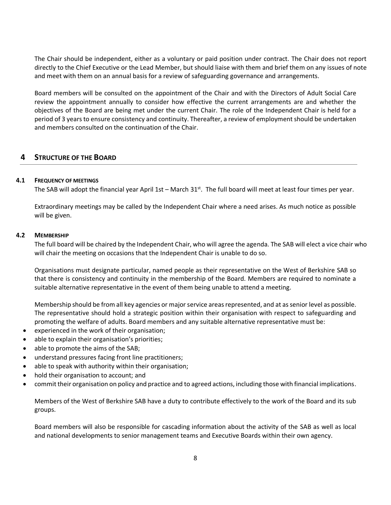The Chair should be independent, either as a voluntary or paid position under contract. The Chair does not report directly to the Chief Executive or the Lead Member, but should liaise with them and brief them on any issues of note and meet with them on an annual basis for a review of safeguarding governance and arrangements.

Board members will be consulted on the appointment of the Chair and with the Directors of Adult Social Care review the appointment annually to consider how effective the current arrangements are and whether the objectives of the Board are being met under the current Chair. The role of the Independent Chair is held for a period of 3 years to ensure consistency and continuity. Thereafter, a review of employment should be undertaken and members consulted on the continuation of the Chair.

#### **4 STRUCTURE OF THE BOARD**

#### **4.1 FREQUENCY OF MEETINGS**

The SAB will adopt the financial year April 1st – March  $31<sup>st</sup>$ . The full board will meet at least four times per year.

Extraordinary meetings may be called by the Independent Chair where a need arises. As much notice as possible will be given.

#### **4.2 MEMBERSHIP**

The full board will be chaired by the Independent Chair, who will agree the agenda. The SAB will elect a vice chair who will chair the meeting on occasions that the Independent Chair is unable to do so.

Organisations must designate particular, named people as their representative on the West of Berkshire SAB so that there is consistency and continuity in the membership of the Board. Members are required to nominate a suitable alternative representative in the event of them being unable to attend a meeting.

Membership should be from all key agencies or major service areas represented, and at as senior level as possible. The representative should hold a strategic position within their organisation with respect to safeguarding and promoting the welfare of adults. Board members and any suitable alternative representative must be:

- experienced in the work of their organisation;
- able to explain their organisation's priorities;
- able to promote the aims of the SAB;
- understand pressures facing front line practitioners;
- able to speak with authority within their organisation;
- hold their organisation to account; and
- commit their organisation on policy and practice and to agreed actions, including those with financial implications.

Members of the West of Berkshire SAB have a duty to contribute effectively to the work of the Board and its sub groups.

Board members will also be responsible for cascading information about the activity of the SAB as well as local and national developments to senior management teams and Executive Boards within their own agency.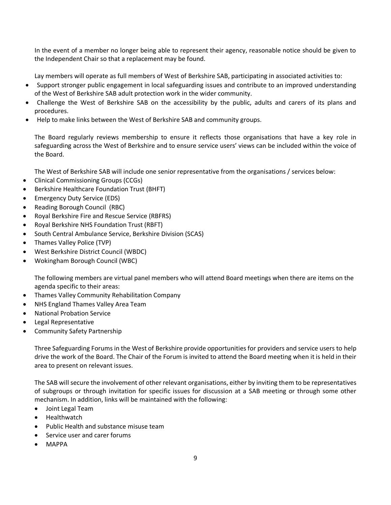In the event of a member no longer being able to represent their agency, reasonable notice should be given to the Independent Chair so that a replacement may be found.

Lay members will operate as full members of West of Berkshire SAB, participating in associated activities to:

- Support stronger public engagement in local safeguarding issues and contribute to an improved understanding of the West of Berkshire SAB adult protection work in the wider community.
- Challenge the West of Berkshire SAB on the accessibility by the public, adults and carers of its plans and procedures.
- Help to make links between the West of Berkshire SAB and community groups.

The Board regularly reviews membership to ensure it reflects those organisations that have a key role in safeguarding across the West of Berkshire and to ensure service users' views can be included within the voice of the Board.

The West of Berkshire SAB will include one senior representative from the organisations / services below:

- Clinical Commissioning Groups (CCGs)
- Berkshire Healthcare Foundation Trust (BHFT)
- Emergency Duty Service (EDS)
- Reading Borough Council (RBC)
- Royal Berkshire Fire and Rescue Service (RBFRS)
- Royal Berkshire NHS Foundation Trust (RBFT)
- South Central Ambulance Service, Berkshire Division (SCAS)
- Thames Valley Police (TVP)
- West Berkshire District Council (WBDC)
- Wokingham Borough Council (WBC)

The following members are virtual panel members who will attend Board meetings when there are items on the agenda specific to their areas:

- Thames Valley Community Rehabilitation Company
- NHS England Thames Valley Area Team
- National Probation Service
- Legal Representative
- Community Safety Partnership

Three Safeguarding Forums in the West of Berkshire provide opportunities for providers and service users to help drive the work of the Board. The Chair of the Forum is invited to attend the Board meeting when it is held in their area to present on relevant issues.

The SAB will secure the involvement of other relevant organisations, either by inviting them to be representatives of subgroups or through invitation for specific issues for discussion at a SAB meeting or through some other mechanism. In addition, links will be maintained with the following:

- Joint Legal Team
- Healthwatch
- Public Health and substance misuse team
- Service user and carer forums
- MAPPA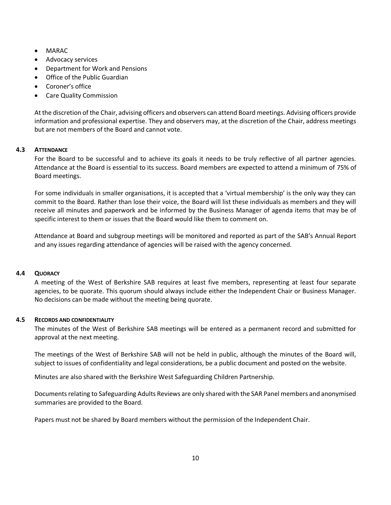- MARAC
- Advocacy services
- Department for Work and Pensions
- Office of the Public Guardian
- Coroner's office
- Care Quality Commission

At the discretion of the Chair, advising officers and observers can attend Board meetings. Advising officers provide information and professional expertise. They and observers may, at the discretion of the Chair, address meetings but are not members of the Board and cannot vote.

#### **4.3 ATTENDANCE**

For the Board to be successful and to achieve its goals it needs to be truly reflective of all partner agencies. Attendance at the Board is essential to its success. Board members are expected to attend a minimum of 75% of Board meetings.

For some individuals in smaller organisations, it is accepted that a 'virtual membership' is the only way they can commit to the Board. Rather than lose their voice, the Board will list these individuals as members and they will receive all minutes and paperwork and be informed by the Business Manager of agenda items that may be of specific interest to them or issues that the Board would like them to comment on.

Attendance at Board and subgroup meetings will be monitored and reported as part of the SAB's Annual Report and any issues regarding attendance of agencies will be raised with the agency concerned.

#### **4.4 QUORACY**

A meeting of the West of Berkshire SAB requires at least five members, representing at least four separate agencies, to be quorate. This quorum should always include either the Independent Chair or Business Manager. No decisions can be made without the meeting being quorate.

#### **4.5 RECORDS AND CONFIDENTIALITY**

The minutes of the West of Berkshire SAB meetings will be entered as a permanent record and submitted for approval at the next meeting.

The meetings of the West of Berkshire SAB will not be held in public, although the minutes of the Board will, subject to issues of confidentiality and legal considerations, be a public document and posted on the website.

Minutes are also shared with the Berkshire West Safeguarding Children Partnership.

Documents relating to Safeguarding Adults Reviews are only shared with the SAR Panel members and anonymised summaries are provided to the Board.

Papers must not be shared by Board members without the permission of the Independent Chair.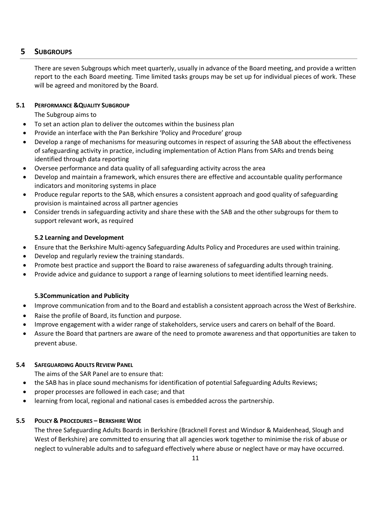## **5 SUBGROUPS**

There are seven Subgroups which meet quarterly, usually in advance of the Board meeting, and provide a written report to the each Board meeting. Time limited tasks groups may be set up for individual pieces of work. These will be agreed and monitored by the Board.

#### **5.1 PERFORMANCE &QUALITY SUBGROUP**

The Subgroup aims to

- To set an action plan to deliver the outcomes within the business plan
- Provide an interface with the Pan Berkshire 'Policy and Procedure' group
- Develop a range of mechanisms for measuring outcomes in respect of assuring the SAB about the effectiveness of safeguarding activity in practice, including implementation of Action Plans from SARs and trends being identified through data reporting
- Oversee performance and data quality of all safeguarding activity across the area
- Develop and maintain a framework, which ensures there are effective and accountable quality performance indicators and monitoring systems in place
- Produce regular reports to the SAB, which ensures a consistent approach and good quality of safeguarding provision is maintained across all partner agencies
- Consider trends in safeguarding activity and share these with the SAB and the other subgroups for them to support relevant work, as required

#### **5.2 Learning and Development**

- Ensure that the Berkshire Multi-agency Safeguarding Adults Policy and Procedures are used within training.
- Develop and regularly review the training standards.
- Promote best practice and support the Board to raise awareness of safeguarding adults through training.
- Provide advice and guidance to support a range of learning solutions to meet identified learning needs.

#### **5.3Communication and Publicity**

- Improve communication from and to the Board and establish a consistent approach across the West of Berkshire.
- Raise the profile of Board, its function and purpose.
- Improve engagement with a wider range of stakeholders, service users and carers on behalf of the Board.
- Assure the Board that partners are aware of the need to promote awareness and that opportunities are taken to prevent abuse.

#### **5.4 SAFEGUARDING ADULTS REVIEW PANEL**

The aims of the SAR Panel are to ensure that:

- the SAB has in place sound mechanisms for identification of potential Safeguarding Adults Reviews;
- proper processes are followed in each case; and that
- learning from local, regional and national cases is embedded across the partnership.

#### **5.5 POLICY & PROCEDURES – BERKSHIRE WIDE**

The three Safeguarding Adults Boards in Berkshire (Bracknell Forest and Windsor & Maidenhead, Slough and West of Berkshire) are committed to ensuring that all agencies work together to minimise the risk of abuse or neglect to vulnerable adults and to safeguard effectively where abuse or neglect have or may have occurred.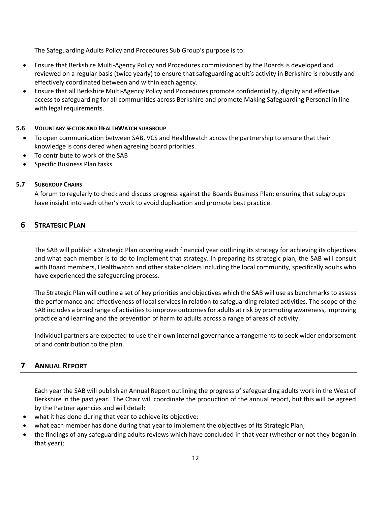The Safeguarding Adults Policy and Procedures Sub Group's purpose is to:

- Ensure that Berkshire Multi-Agency Policy and Procedures commissioned by the Boards is developed and reviewed on a regular basis (twice yearly) to ensure that safeguarding adult's activity in Berkshire is robustly and effectively coordinated between and within each agency.
- Ensure that all Berkshire Multi-Agency Policy and Procedures promote confidentiality, dignity and effective access to safeguarding for all communities across Berkshire and promote Making Safeguarding Personal in line with legal requirements.

#### **5.6 VOLUNTARY SECTOR AND HEALTHWATCH SUBGROUP**

- To open communication between SAB, VCS and Healthwatch across the partnership to ensure that their knowledge is considered when agreeing board priorities.
- To contribute to work of the SAB
- Specific Business Plan tasks

#### **5.7 SUBGROUP CHAIRS**

A forum to regularly to check and discuss progress against the Boards Business Plan; ensuring that subgroups have insight into each other's work to avoid duplication and promote best practice.

#### **6 STRATEGIC PLAN**

The SAB will publish a Strategic Plan covering each financial year outlining its strategy for achieving its objectives and what each member is to do to implement that strategy. In preparing its strategic plan, the SAB will consult with Board members, Healthwatch and other stakeholders including the local community, specifically adults who have experienced the safeguarding process.

The Strategic Plan will outline a set of key priorities and objectives which the SAB will use as benchmarks to assess the performance and effectiveness of local services in relation to safeguarding related activities. The scope of the SAB includes a broad range of activities to improve outcomes for adults at risk by promoting awareness, improving practice and learning and the prevention of harm to adults across a range of areas of activity.

Individual partners are expected to use their own internal governance arrangements to seek wider endorsement of and contribution to the plan.

#### **7 ANNUAL REPORT**

Each year the SAB will publish an Annual Report outlining the progress of safeguarding adults work in the West of Berkshire in the past year. The Chair will coordinate the production of the annual report, but this will be agreed by the Partner agencies and will detail:

- what it has done during that year to achieve its objective;
- what each member has done during that year to implement the objectives of its Strategic Plan;
- the findings of any safeguarding adults reviews which have concluded in that year (whether or not they began in that year);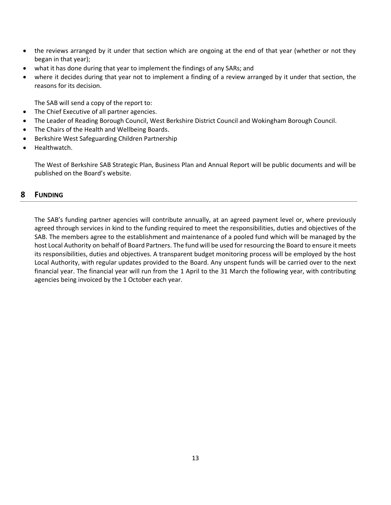- the reviews arranged by it under that section which are ongoing at the end of that year (whether or not they began in that year);
- what it has done during that year to implement the findings of any SARs; and
- where it decides during that year not to implement a finding of a review arranged by it under that section, the reasons for its decision.

The SAB will send a copy of the report to:

- The Chief Executive of all partner agencies.
- The Leader of Reading Borough Council, West Berkshire District Council and Wokingham Borough Council.
- The Chairs of the Health and Wellbeing Boards.
- Berkshire West Safeguarding Children Partnership
- Healthwatch.

The West of Berkshire SAB Strategic Plan, Business Plan and Annual Report will be public documents and will be published on the Board's website.

#### **8 FUNDING**

The SAB's funding partner agencies will contribute annually, at an agreed payment level or, where previously agreed through services in kind to the funding required to meet the responsibilities, duties and objectives of the SAB. The members agree to the establishment and maintenance of a pooled fund which will be managed by the host Local Authority on behalf of Board Partners. The fund will be used for resourcing the Board to ensure it meets its responsibilities, duties and objectives. A transparent budget monitoring process will be employed by the host Local Authority, with regular updates provided to the Board. Any unspent funds will be carried over to the next financial year. The financial year will run from the 1 April to the 31 March the following year, with contributing agencies being invoiced by the 1 October each year.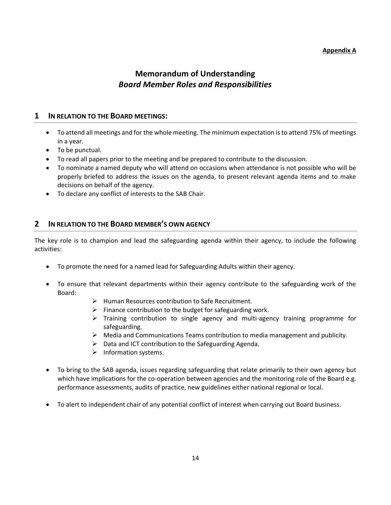# **Memorandum of Understanding** *Board Member Roles and Responsibilities*

#### **1 IN RELATION TO THE BOARD MEETINGS:**

- To attend all meetings and for the whole meeting. The minimum expectation is to attend 75% of meetings in a year.
- To be punctual.
- To read all papers prior to the meeting and be prepared to contribute to the discussion.
- To nominate a named deputy who will attend on occasions when attendance is not possible who will be properly briefed to address the issues on the agenda, to present relevant agenda items and to make decisions on behalf of the agency.
- To declare any conflict of interests to the SAB Chair.

#### **2 IN RELATION TO THE BOARD MEMBER'S OWN AGENCY**

The key role is to champion and lead the safeguarding agenda within their agency, to include the following activities:

- To promote the need for a named lead for Safeguarding Adults within their agency.
- To ensure that relevant departments within their agency contribute to the safeguarding work of the Board:
	- ➢ Human Resources contribution to Safe Recruitment.
	- $\triangleright$  Finance contribution to the budget for safeguarding work.
	- ➢ Training contribution to single agency and multi-agency training programme for safeguarding.
	- $\triangleright$  Media and Communications Teams contribution to media management and publicity.
	- ➢ Data and ICT contribution to the Safeguarding Agenda.
	- ➢ Information systems.
- To bring to the SAB agenda, issues regarding safeguarding that relate primarily to their own agency but which have implications for the co-operation between agencies and the monitoring role of the Board e.g. performance assessments, audits of practice, new guidelines either national regional or local.
- To alert to independent chair of any potential conflict of interest when carrying out Board business.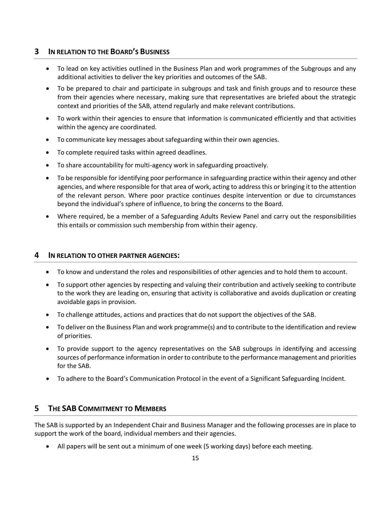### **3 IN RELATION TO THE BOARD'S BUSINESS**

- To lead on key activities outlined in the Business Plan and work programmes of the Subgroups and any additional activities to deliver the key priorities and outcomes of the SAB.
- To be prepared to chair and participate in subgroups and task and finish groups and to resource these from their agencies where necessary, making sure that representatives are briefed about the strategic context and priorities of the SAB, attend regularly and make relevant contributions.
- To work within their agencies to ensure that information is communicated efficiently and that activities within the agency are coordinated.
- To communicate key messages about safeguarding within their own agencies.
- To complete required tasks within agreed deadlines.
- To share accountability for multi-agency work in safeguarding proactively.
- To be responsible for identifying poor performance in safeguarding practice within their agency and other agencies, and where responsible for that area of work, acting to address this or bringing it to the attention of the relevant person. Where poor practice continues despite intervention or due to circumstances beyond the individual's sphere of influence, to bring the concerns to the Board.
- Where required, be a member of a Safeguarding Adults Review Panel and carry out the responsibilities this entails or commission such membership from within their agency.

#### **4 IN RELATION TO OTHER PARTNER AGENCIES:**

- To know and understand the roles and responsibilities of other agencies and to hold them to account.
- To support other agencies by respecting and valuing their contribution and actively seeking to contribute to the work they are leading on, ensuring that activity is collaborative and avoids duplication or creating avoidable gaps in provision.
- To challenge attitudes, actions and practices that do not support the objectives of the SAB.
- To deliver on the Business Plan and work programme(s) and to contribute to the identification and review of priorities.
- To provide support to the agency representatives on the SAB subgroups in identifying and accessing sources of performance information in order to contribute to the performance management and priorities for the SAB.
- To adhere to the Board's Communication Protocol in the event of a Significant Safeguarding Incident.

## **5 THE SAB COMMITMENT TO MEMBERS**

The SAB is supported by an Independent Chair and Business Manager and the following processes are in place to support the work of the board, individual members and their agencies.

• All papers will be sent out a minimum of one week (5 working days) before each meeting.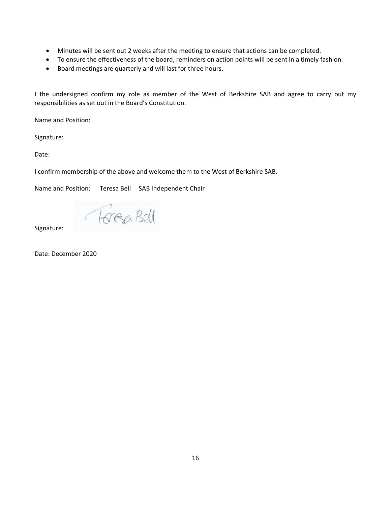- Minutes will be sent out 2 weeks after the meeting to ensure that actions can be completed.
- To ensure the effectiveness of the board, reminders on action points will be sent in a timely fashion.
- Board meetings are quarterly and will last for three hours.

I the undersigned confirm my role as member of the West of Berkshire SAB and agree to carry out my responsibilities as set out in the Board's Constitution.

Name and Position:

Signature:

Date:

I confirm membership of the above and welcome them to the West of Berkshire SAB.

Name and Position: Teresa Bell SAB Independent Chair

Torea Bell

Signature:

Date: December 2020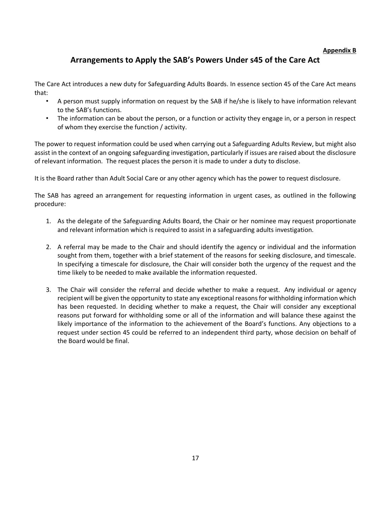#### **Appendix B**

# **Arrangements to Apply the SAB's Powers Under s45 of the Care Act**

The Care Act introduces a new duty for Safeguarding Adults Boards. In essence section 45 of the Care Act means that:

- A person must supply information on request by the SAB if he/she is likely to have information relevant to the SAB's functions.
- The information can be about the person, or a function or activity they engage in, or a person in respect of whom they exercise the function / activity.

The power to request information could be used when carrying out a Safeguarding Adults Review, but might also assist in the context of an ongoing safeguarding investigation, particularly if issues are raised about the disclosure of relevant information. The request places the person it is made to under a duty to disclose.

It is the Board rather than Adult Social Care or any other agency which has the power to request disclosure.

The SAB has agreed an arrangement for requesting information in urgent cases, as outlined in the following procedure:

- 1. As the delegate of the Safeguarding Adults Board, the Chair or her nominee may request proportionate and relevant information which is required to assist in a safeguarding adults investigation.
- 2. A referral may be made to the Chair and should identify the agency or individual and the information sought from them, together with a brief statement of the reasons for seeking disclosure, and timescale. In specifying a timescale for disclosure, the Chair will consider both the urgency of the request and the time likely to be needed to make available the information requested.
- 3. The Chair will consider the referral and decide whether to make a request. Any individual or agency recipient will be given the opportunity to state any exceptional reasons for withholding information which has been requested. In deciding whether to make a request, the Chair will consider any exceptional reasons put forward for withholding some or all of the information and will balance these against the likely importance of the information to the achievement of the Board's functions. Any objections to a request under section 45 could be referred to an independent third party, whose decision on behalf of the Board would be final.